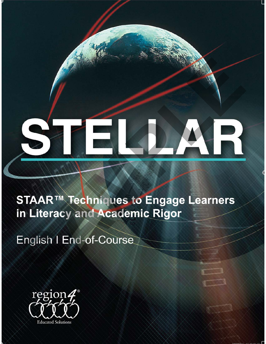# STELLAR<br>
STAAR<sup>TM</sup> Techniques to Engage Learners<br>
in Literacy and Academic Rigor<br>
English I End-of-Course

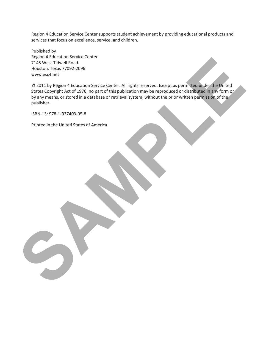Region 4 Education Service Center supports student achievement by providing educational products and services that focus on excellence, service, and children.

Published by Region 4 Education Service Center 7145 West Tidwell Road Houston, Texas 77092-2096 www.esc4.net

© 2011 by Region 4 Education Service Center. All rights reserved. Except as permitted under the United States Copyright Act of 1976, no part of this publication may be reproduced or distributed in any form or by any means, or stored in a database or retrieval system, without the prior written permission of the publisher. In student and a control in the state of the state of the state of the state of the state of the state of the state of the state of the state of the state of the state of the state of the state of the state of the state of

ISBN-13: 978-1-937403-05-8

Printed in the United States of America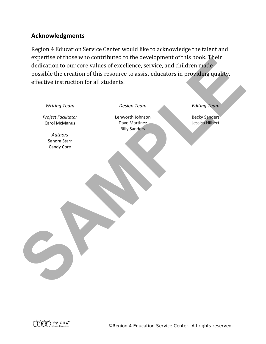# **Acknowledgments**

Region 4 Education Service Center would like to acknowledge the talent and expertise of those who contributed to the development of this book. Their dedication to our core values of excellence, service, and children made possible the creation of this resource to assist educators in providing quality, effective instruction for all students.

|                     |                                         | possible the creation of this resource to assist educators in providing quality, |                      |
|---------------------|-----------------------------------------|----------------------------------------------------------------------------------|----------------------|
|                     | effective instruction for all students. |                                                                                  |                      |
|                     |                                         |                                                                                  |                      |
| <b>Writing Team</b> |                                         | <b>Design Team</b>                                                               | <b>Editing Team</b>  |
| Project Facilitator |                                         | Lenworth Johnson                                                                 | <b>Becky Sanders</b> |
| Carol McManus       |                                         | Dave Martinez<br><b>Billy Sanders</b>                                            | Jessica Hilbert      |
| Authors             |                                         |                                                                                  |                      |
| Sandra Starr        |                                         |                                                                                  |                      |
| Candy Core          |                                         |                                                                                  |                      |
|                     |                                         |                                                                                  |                      |
|                     |                                         |                                                                                  |                      |
|                     |                                         |                                                                                  |                      |
|                     |                                         |                                                                                  |                      |
|                     |                                         |                                                                                  |                      |
|                     |                                         |                                                                                  |                      |
|                     |                                         |                                                                                  |                      |
|                     |                                         |                                                                                  |                      |
|                     |                                         |                                                                                  |                      |
|                     |                                         |                                                                                  |                      |
|                     |                                         |                                                                                  |                      |
|                     |                                         |                                                                                  |                      |
|                     |                                         |                                                                                  |                      |
|                     |                                         |                                                                                  |                      |
|                     |                                         |                                                                                  |                      |
|                     |                                         |                                                                                  |                      |
|                     |                                         |                                                                                  |                      |
|                     |                                         |                                                                                  |                      |
|                     |                                         |                                                                                  |                      |

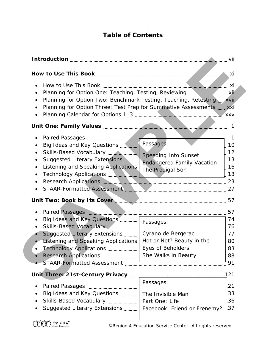# **Table of Contents**

| $\bullet$                                                             |                                   |            |
|-----------------------------------------------------------------------|-----------------------------------|------------|
| $\bullet$                                                             |                                   |            |
| Planning for Option Two: Benchmark Testing, Teaching, Retesting, xvii |                                   |            |
| Planning for Option Three: Test Prep for Summative Assessments  xxi   |                                   |            |
|                                                                       |                                   |            |
| Unit One: Family Values <b>Machines 2018</b> 1                        |                                   |            |
|                                                                       |                                   | $\ldots$ 1 |
| $\bullet$                                                             |                                   | 10         |
|                                                                       |                                   | 12         |
| Suggested Literary Extensions<br>$\bullet$                            | <b>Endangered Family Vacation</b> | 13         |
| Listening and Speaking Applications                                   | The Prodigal Son                  | 16         |
| $\bullet$                                                             |                                   | 18         |
| $\bullet$                                                             |                                   |            |
|                                                                       |                                   |            |
|                                                                       |                                   |            |
|                                                                       |                                   | 57         |
| Big Ideas and Key Questions  Passages:                                |                                   | 74         |
| $\bullet$                                                             |                                   | 76         |
| Suggested Literary Extensions                                         | Cyrano de Bergerac                | 77         |
| <b>Listening and Speaking Applications</b>                            | Hot or Not? Beauty in the         | 80         |
|                                                                       | <b>Eyes of Beholders</b>          | 83         |
|                                                                       |                                   | 88         |
|                                                                       |                                   | 91         |
|                                                                       |                                   | 121        |
|                                                                       | Passages:                         | 21         |
| Big Ideas and Key Questions  The Invisible Man                        |                                   | 33         |
| Skills-Based Vocabulary  Part One: Life                               |                                   | 36         |
| Suggested Literary Extensions    Facebook: Friend or Frenemy?         |                                   | 37         |
|                                                                       |                                   |            |
|                                                                       |                                   |            |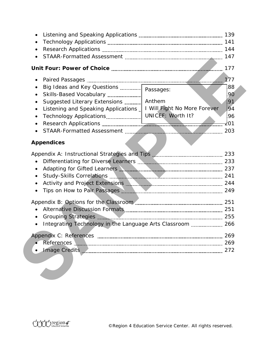| $\bullet$                                                                     |                              |     |
|-------------------------------------------------------------------------------|------------------------------|-----|
| $\bullet$                                                                     |                              |     |
| $\bullet$                                                                     |                              |     |
| $\bullet$                                                                     |                              |     |
|                                                                               |                              | 177 |
| $\bullet$                                                                     |                              |     |
| Big Ideas and Key Questions  Passages:<br>$\bullet$                           |                              | 88  |
| $\bullet$                                                                     |                              | 90  |
| $\bullet$                                                                     | Anthem                       | 91  |
| Listening and Speaking Applications<br>$\bullet$                              | I Will Fight No More Forever | 94  |
| $\bullet$                                                                     | <b>UNICEF: Worth It?</b>     | 96  |
| $\bullet$                                                                     |                              | 10ל |
| $\bullet$                                                                     |                              |     |
|                                                                               |                              |     |
| <b>Appendices</b>                                                             |                              |     |
|                                                                               |                              |     |
| $\bullet$                                                                     |                              |     |
| Adapting for Gifted Learners <b>Manual Adapting Contract 237</b><br>$\bullet$ |                              |     |
| $\bullet$                                                                     |                              |     |
| $\bullet$                                                                     |                              |     |
| $\bullet$                                                                     |                              |     |
|                                                                               |                              |     |
|                                                                               |                              |     |
|                                                                               |                              |     |
|                                                                               |                              |     |
| Integrating Technology in the Language Arts Classroom                         |                              |     |
|                                                                               |                              |     |
|                                                                               |                              | 269 |
|                                                                               |                              | 272 |
|                                                                               |                              |     |
|                                                                               |                              |     |
|                                                                               |                              |     |
|                                                                               |                              |     |
|                                                                               |                              |     |

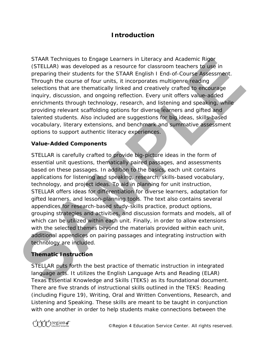# **Introduction**

*STAAR Techniques to Engage Learners in Literacy and Academic Rigor (STELLAR)* was developed as a resource for classroom teachers to use in preparing their students for the STAAR English I End-of-Course Assessment. Through the course of four units, it incorporates multigenre reading selections that are thematically linked and creatively crafted to encourage inquiry, discussion, and ongoing reflection. Every unit offers value-added enrichments through technology, research, and listening and speaking, while providing relevant scaffolding options for diverse learners and gifted and talented students. Also included are suggestions for big ideas, skills-based vocabulary, literary extensions, and benchmark and summative assessment options to support authentic literacy experiences.

### **Value-Added Components**

*STELLAR* is carefully crafted to provide big-picture ideas in the form of essential unit questions, thematically paired passages, and assessments based on these passages. In addition to the basics, each unit contains applications for listening and speaking, research, skills-based vocabulary, technology, and project ideas. To aid in planning for unit instruction, *STELLAR* offers ideas for differentiation for diverse learners, adaptation for gifted learners, and lesson-planning tools. The text also contains several appendices for research-based study-skills practice, product options, grouping strategies and activities, and discussion formats and models, all of which can be utilized within each unit. Finally, in order to allow extensions with the selected themes beyond the materials provided within each unit, additional appendices on pairing passages and integrating instruction with technology are included. STAAR Techniques to *Chroge Learners in Literacy and Academic Rigor*<br>(*STELLAR)* was developed as a resource for classroom teachers to use<br>proparing their students for the STAAR English I End-of-Course Assessment.<br>Through

## **Thematic Instruction**

*STELLAR* puts forth the best practice of thematic instruction in integrated language arts. It utilizes the English Language Arts and Reading (ELAR) Texas Essential Knowledge and Skills (TEKS) as its foundational document. There are five strands of instructional skills outlined in the TEKS: Reading (including Figure 19), Writing, Oral and Written Conventions, Research, and Listening and Speaking. These skills are meant to be taught in conjunction with one another in order to help students make connections between the

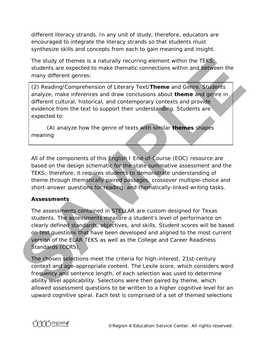different literacy strands. In any unit of study, therefore, educators are encouraged to integrate the literacy strands so that students must synthesize skills and concepts from each to gain meaning and insight.

The study of themes is a naturally recurring element within the TEKS; students are expected to make thematic connections within and between the many different genres:

(2) Reading/Comprehension of Literary Text/**Theme** and Genre. Students analyze, make inferences and draw conclusions about **theme** and genre in different cultural, historical, and contemporary contexts and provide evidence from the text to support their understanding. Students are expected to:

(A) analyze how the genre of texts with similar **themes** shapes meaning

All of the components of this English I End-of-Course (EOC) resource are based on the design schematic for the state summative assessment and the TEKS; therefore, it requires students to demonstrate understanding of theme through thematically paired passages, crossover multiple-choice and short-answer questions for reading, and thematically-linked writing tasks.

### **Assessments**

The assessments contained in *STELLAR* are custom designed for Texas students. The assessments measure a student's level of performance on clearly defined standards, objectives, and skills. Student scores will be based on test questions that have been developed and aligned to the most current version of the ELAR TEKS as well as the College and Career Readiness Standards (CCRS). The study of themes Is a naturally recurring element within the TEKS<br>students are expected to make thematic connections within and distivelen the<br>many different genres:<br>(2) Reading/Comprehension of Literary Text/Theme and

The chosen selections meet the criteria for high-interest, 21st-century context and age-appropriate content. The Lexile score, which considers word frequency and sentence length, of each selection was used to determine ability level applicability. Selections were then paired by theme, which allowed assessment questions to be written to a higher cognitive level for an upward cognitive spiral. Each test is comprised of a set of themed selections

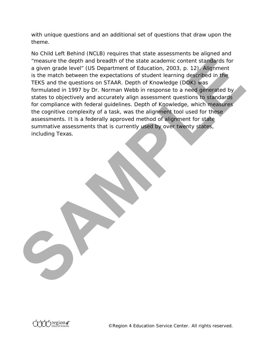with unique questions and an additional set of questions that draw upon the theme.

No Child Left Behind (NCLB) requires that state assessments be aligned and "measure the depth and breadth of the state academic content standards for a given grade level" (US Department of Education, 2003, p. 12). Alignment is the match between the expectations of student learning described in the TEKS and the questions on STAAR. Depth of Knowledge (DOK) was formulated in 1997 by Dr. Norman Webb in response to a need generated by states to objectively and accurately align assessment questions to standards for compliance with federal guidelines. Depth of Knowledge, which measures the cognitive complexity of a task, was the alignment tool used for these assessments. It is a federally approved method of alignment for state summative assessments that is currently used by over twenty states, including Texas. The same the depth and breadth of the state academic content standards for a given grade level" (US Bepartment of Education. 2003, p. 12). Allgomment is the match between the expectations of student learning described in t

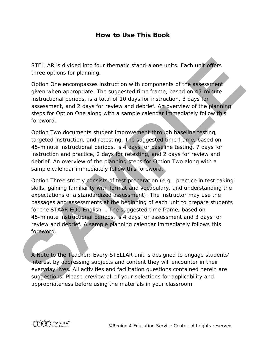# **How to Use This Book**

*STELLAR* is divided into four thematic stand-alone units. Each unit offers three options for planning.

Option One encompasses instruction with components of the assessment given when appropriate. The suggested time frame, based on 45-minute instructional periods, is a total of 10 days for instruction, 3 days for assessment, and 2 days for review and debrief. An overview of the planning steps for Option One along with a sample calendar immediately follow this foreword.

Option Two documents student improvement through baseline testing, targeted instruction, and retesting. The suggested time frame, based on 45-minute instructional periods, is 4 days for baseline testing, 7 days for instruction and practice, 2 days for retesting, and 2 days for review and debrief. An overview of the planning steps for Option Two along with a sample calendar immediately follow this foreword.

Option Three strictly consists of test preparation (e.g., practice in test-taking skills, gaining familiarity with format and vocabulary, and understanding the expectations of a standardized assessment). The instructor may use the passages and assessments at the beginning of each unit to prepare students for the STAAR EOC English I. The suggested time frame, based on 45-minute instructional periods, is 4 days for assessment and 3 days for review and debrief. A sample planning calendar immediately follows this foreword. STELLAR is divided into four thematic stand-alone units. Each unit offers<br>three options for planning.<br>Option One encompasses instruction with components of the assessment<br>given when appropriate. The suggested time frame, b

A Note to the Teacher: Every *STELLAR* unit is designed to engage students' interest by addressing subjects and content they will encounter in their everyday lives. All activities and facilitation questions contained herein are suggestions. Please preview all of your selections for applicability and appropriateness before using the materials in your classroom.

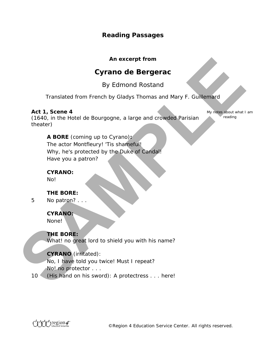# **Reading Passages**

### **An excerpt from**

# **Cyrano de Bergerac**

# *By Edmond Rostand*

Translated from French by Gladys Thomas and Mary F. Guillemard

### **Act 1, Scene 4 .**

(1640, in the Hotel de Bourgogne, a large and crowded Parisian theater)

My notes about what I am reading

**A BORE** (coming up to Cyrano)**:** The actor Montfleury! 'Tis shameful! Why, he's protected by the Duke of Candal! Have you a patron? **SAMPLE SERVIDE CONTROLL CONTROLL CONTROLL CONTROLL CONTROLL CONTROLL CONTROLL CONTROLL CONTROLL CONTROLL CONTROLL CONTROLL CONTROLL CONTROLL CONTROLL CONTROLL CONTROLL CONTROLL CONTROLL CONTROLL CONTROLL CONTROLL CONTROLL** 

### **CYRANO:**

No!

### **THE BORE:**

*5* No patron? . . .

### **CYRANO:**

None!

### **THE BORE:**

What! no great lord to shield you with his name?

### **CYRANO** (irritated):

No, I have told you twice! Must I repeat? No! no protector . . .

*10* (His hand on his sword): A protectress . . . here!

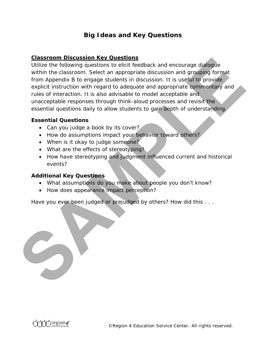# **Big Ideas and Key Questions**

### **Classroom Discussion Key Questions**

Utilize the following questions to elicit feedback and encourage dialogue within the classroom. Select an appropriate discussion and grouping format from Appendix B to engage students in discussion. It is useful to provide explicit instruction with regard to adequate and appropriate commentary and rules of interaction. It is also advisable to model acceptable and unacceptable responses through think-aloud processes and revisit the essential questions daily to allow students to gain depth of understanding. **Cassroom Discussion Key Questions**<br> **SAMPLE THE CONSUMPLE CONSUMPLEME CONSUMPLEME CONSUMPLEME CONSUMPLEME CONSUMPLEME CONSUMPLEME CONSUMPLEME CONSUMPLEME CONSUMPLEME CONSUMPLEMENT CONSUMPLEMENT CONSUMPLEMENT CONSUMPLEMENT** 

### **Essential Questions**

- Can you judge a book by its cover?
- How do assumptions impact your behavior toward others?
- When is it okay to judge someone?
- What are the effects of stereotyping?
- How have stereotyping and judgment influenced current and historical events?

### **Additional Key Questions**

- What assumptions do you make about people you don't know?
- How does appearance impact perception?

Have you ever been judged or prejudged by others? How did this . . .



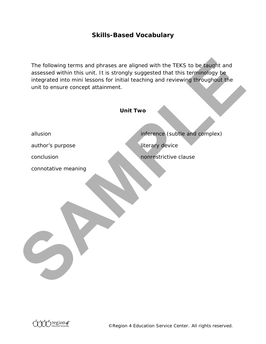# **Skills-Based Vocabulary**

| unit to ensure concept attainment. | The following terms and phrases are aligned with the TEKS to be taught and<br>assessed within this unit. It is strongly suggested that this terminology be<br>integrated into mini lessons for initial teaching and reviewing throughout the |
|------------------------------------|----------------------------------------------------------------------------------------------------------------------------------------------------------------------------------------------------------------------------------------------|
|                                    | <b>Unit Two</b>                                                                                                                                                                                                                              |
| allusion                           | inference (subtle and complex)                                                                                                                                                                                                               |
| author's purpose                   | literary device                                                                                                                                                                                                                              |
| conclusion                         | nonrestrictive clause                                                                                                                                                                                                                        |
| connotative meaning                |                                                                                                                                                                                                                                              |

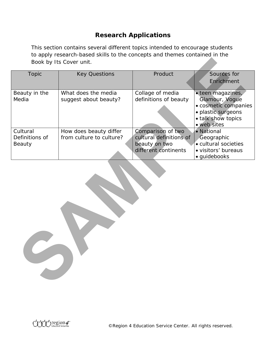# **Research Applications**

This section contains several different topics intended to encourage students to apply research-based skills to the concepts and themes contained in the Book by Its Cover unit.

| Book by Its Cover unit.              |                                                    |                                                                                       |                                                                                                                        |  |  |
|--------------------------------------|----------------------------------------------------|---------------------------------------------------------------------------------------|------------------------------------------------------------------------------------------------------------------------|--|--|
| <b>Topic</b>                         | <b>Key Questions</b>                               | Product                                                                               | Sources for<br>Enrichment                                                                                              |  |  |
| Beauty in the<br>Media               | What does the media<br>suggest about beauty?       | Collage of media<br>definitions of beauty                                             | · teen magazines,<br>Glamour, Vogue<br>· cosmetic companies<br>· plastic surgeons<br>• talk show topics<br>· web sites |  |  |
| Cultural<br>Definitions of<br>Beauty | How does beauty differ<br>from culture to culture? | Comparison of two<br>cultural definitions of<br>beauty on two<br>different continents | • National<br>Geographic<br>· cultural societies<br>· visitors' bureaus<br>· guidebooks                                |  |  |
|                                      |                                                    |                                                                                       |                                                                                                                        |  |  |

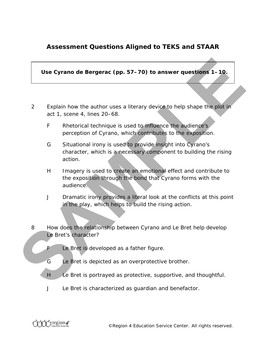# **Assessment Questions Aligned to TEKS and STAAR**

**Use** *Cyrano de Bergerac* **(pp. 57–70) to answer questions 1–10.**

- 2 Explain how the author uses a literary device to help shape the plot in act 1, scene 4, lines 20–68.
	- F Rhetorical technique is used to influence the audience's perception of Cyrano, which contributes to the exposition.
- G Situational irony is used to provide insight into Cyrano's character, which is a necessary component to building the rising action. Use *Cyrano de Bergerac* (pp. 57–70) to answer questions 1–10.<br>
Explain how the author uses a literary device to help shape the plot in<br>
act 1, see e 4, lines 20–68.<br>
Freelorical technique is used to influence the audience
	- H Imagery is used to create an emotional effect and contribute to the exposition through the bond that Cyrano forms with the audience.
	- J Dramatic irony provides a literal look at the conflicts at this point in the play, which helps to build the rising action.
	- 8 How does the relationship between Cyrano and Le Bret help develop Le Bret's character?
		- F Le Bret is developed as a father figure.
		- G Le Bret is depicted as an overprotective brother.
		- H Le Bret is portrayed as protective, supportive, and thoughtful.
		- J Le Bret is characterized as guardian and benefactor.